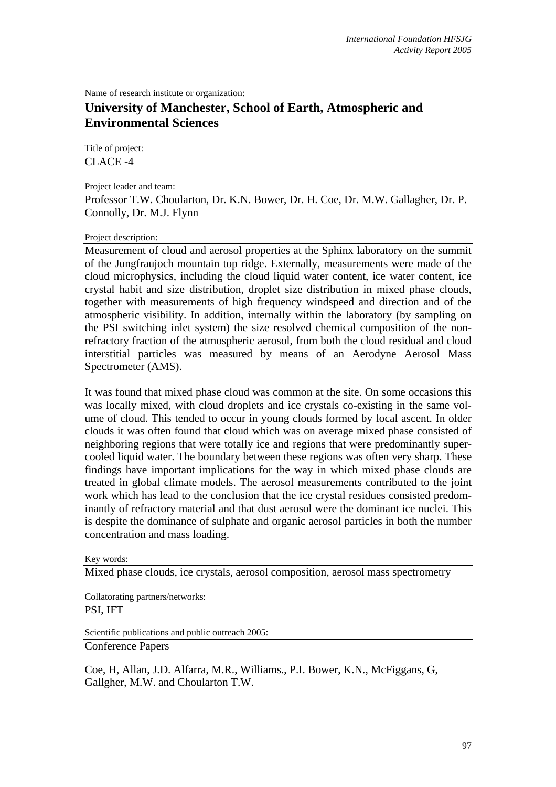Name of research institute or organization:

## **University of Manchester, School of Earth, Atmospheric and Environmental Sciences**

Title of project:

CLACE -4

## Project leader and team:

Professor T.W. Choularton, Dr. K.N. Bower, Dr. H. Coe, Dr. M.W. Gallagher, Dr. P. Connolly, Dr. M.J. Flynn

## Project description:

Measurement of cloud and aerosol properties at the Sphinx laboratory on the summit of the Jungfraujoch mountain top ridge. Externally, measurements were made of the cloud microphysics, including the cloud liquid water content, ice water content, ice crystal habit and size distribution, droplet size distribution in mixed phase clouds, together with measurements of high frequency windspeed and direction and of the atmospheric visibility. In addition, internally within the laboratory (by sampling on the PSI switching inlet system) the size resolved chemical composition of the nonrefractory fraction of the atmospheric aerosol, from both the cloud residual and cloud interstitial particles was measured by means of an Aerodyne Aerosol Mass Spectrometer (AMS).

It was found that mixed phase cloud was common at the site. On some occasions this was locally mixed, with cloud droplets and ice crystals co-existing in the same volume of cloud. This tended to occur in young clouds formed by local ascent. In older clouds it was often found that cloud which was on average mixed phase consisted of neighboring regions that were totally ice and regions that were predominantly supercooled liquid water. The boundary between these regions was often very sharp. These findings have important implications for the way in which mixed phase clouds are treated in global climate models. The aerosol measurements contributed to the joint work which has lead to the conclusion that the ice crystal residues consisted predominantly of refractory material and that dust aerosol were the dominant ice nuclei. This is despite the dominance of sulphate and organic aerosol particles in both the number concentration and mass loading.

Key words:

Mixed phase clouds, ice crystals, aerosol composition, aerosol mass spectrometry

Collatorating partners/networks: PSI, IFT

Scientific publications and public outreach 2005: Conference Papers

Coe, H, Allan, J.D. Alfarra, M.R., Williams., P.I. Bower, K.N., McFiggans, G, Gallgher, M.W. and Choularton T.W.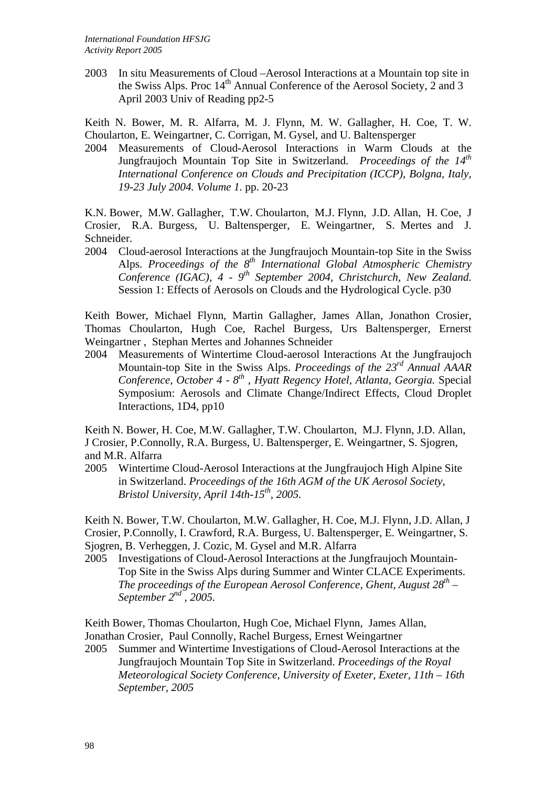2003 In situ Measurements of Cloud –Aerosol Interactions at a Mountain top site in the Swiss Alps. Proc  $14<sup>th</sup>$  Annual Conference of the Aerosol Society, 2 and 3 April 2003 Univ of Reading pp2-5

Keith N. Bower, M. R. Alfarra, M. J. Flynn, M. W. Gallagher, H. Coe, T. W. Choularton, E. Weingartner, C. Corrigan, M. Gysel, and U. Baltensperger

2004 Measurements of Cloud-Aerosol Interactions in Warm Clouds at the Jungfraujoch Mountain Top Site in Switzerland. *Proceedings of the 14<sup>th</sup> International Conference on Clouds and Precipitation (ICCP), Bolgna, Italy, 19-23 July 2004. Volume 1.* pp. 20-23

K.N. Bower, M.W. Gallagher, T.W. Choularton, M.J. Flynn, J.D. Allan, H. Coe, J Crosier, R.A. Burgess, U. Baltensperger, E. Weingartner, S. Mertes and J. Schneider.

2004 Cloud-aerosol Interactions at the Jungfraujoch Mountain-top Site in the Swiss Alps. *Proceedings of the 8<sup>th</sup> International Global Atmospheric Chemistry Conference (IGAC), 4 - 9th September 2004, Christchurch, New Zealand.* Session 1: Effects of Aerosols on Clouds and the Hydrological Cycle. p30

Keith Bower, Michael Flynn, Martin Gallagher, James Allan, Jonathon Crosier, Thomas Choularton, Hugh Coe, Rachel Burgess, Urs Baltensperger, Ernerst Weingartner , Stephan Mertes and Johannes Schneider

2004 Measurements of Wintertime Cloud-aerosol Interactions At the Jungfraujoch Mountain-top Site in the Swiss Alps. *Proceedings of the 23rd Annual AAAR Conference, October 4 - 8th , Hyatt Regency Hotel, Atlanta, Georgia.* Special Symposium: Aerosols and Climate Change/Indirect Effects, Cloud Droplet Interactions, 1D4, pp10

Keith N. Bower, H. Coe, M.W. Gallagher, T.W. Choularton, M.J. Flynn, J.D. Allan, J Crosier, P.Connolly, R.A. Burgess, U. Baltensperger, E. Weingartner, S. Sjogren, and M.R. Alfarra

2005 Wintertime Cloud-Aerosol Interactions at the Jungfraujoch High Alpine Site in Switzerland. *Proceedings of the 16th AGM of the UK Aerosol Society, Bristol University, April 14th-15th, 2005.*

Keith N. Bower, T.W. Choularton, M.W. Gallagher, H. Coe, M.J. Flynn, J.D. Allan, J Crosier, P.Connolly, I. Crawford, R.A. Burgess, U. Baltensperger, E. Weingartner, S. Sjogren, B. Verheggen, J. Cozic, M. Gysel and M.R. Alfarra

2005 Investigations of Cloud-Aerosol Interactions at the Jungfraujoch Mountain-Top Site in the Swiss Alps during Summer and Winter CLACE Experiments. *The proceedings of the European Aerosol Conference, Ghent, August 28<sup>th</sup> – September 2nd , 2005.*

Keith Bower, Thomas Choularton, Hugh Coe, Michael Flynn, James Allan, Jonathan Crosier, Paul Connolly, Rachel Burgess, Ernest Weingartner

2005 Summer and Wintertime Investigations of Cloud-Aerosol Interactions at the Jungfraujoch Mountain Top Site in Switzerland. *Proceedings of the Royal Meteorological Society Conference, University of Exeter, Exeter, 11th – 16th September, 2005*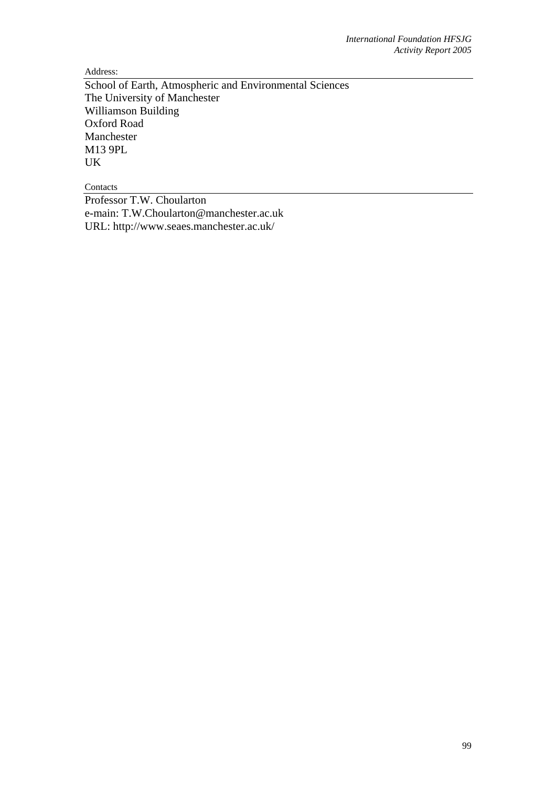Address:

School of Earth, Atmospheric and Environmental Sciences The University of Manchester Williamson Building Oxford Road Manchester M13 9PL UK

Contacts

Professor T.W. Choularton e-main: T.W.Choularton@manchester.ac.uk URL: http://www.seaes.manchester.ac.uk/